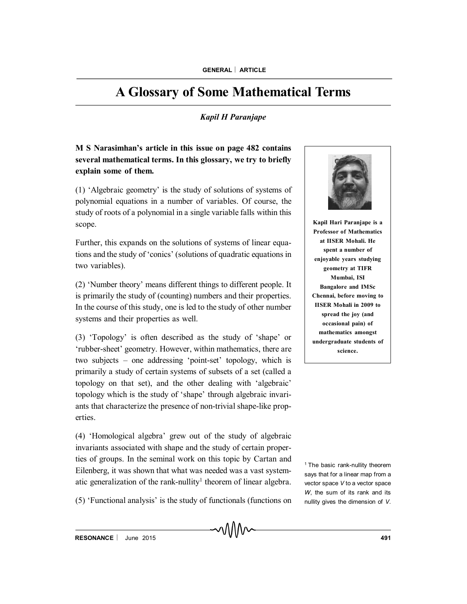## **A Glossary of Some Mathematical Terms**

## *Kapil H Paranjape*

**M S Narasimhan's article in this issue on page 482 contains several mathematical terms. In this glossary, we try to briefly explain some of them.**

(1) 'Algebraic geometry' is the study of solutions of systems of polynomial equations in a number of variables. Of course, the study of roots of a polynomial in a single variable falls within this scope.

Further, this expands on the solutions of systems of linear equations and the study of 'conics' (solutions of quadratic equations in two variables).

(2) 'Number theory' means different things to different people. It is primarily the study of (counting) numbers and their properties. In the course of this study, one is led to the study of other number systems and their properties as well.

(3) 'Topology' is often described as the study of 'shape' or 'rubber-sheet' geometry. However, within mathematics, there are two subjects – one addressing 'point-set' topology, which is primarily a study of certain systems of subsets of a set (called a topology on that set), and the other dealing with 'algebraic' topology which is the study of 'shape' through algebraic invariants that characterize the presence of non-trivial shape-like properties.

(4) 'Homological algebra' grew out of the study of algebraic invariants associated with shape and the study of certain properties of groups. In the seminal work on this topic by Cartan and Eilenberg, it was shown that what was needed was a vast systematic generalization of the rank-nullity<sup>1</sup> theorem of linear algebra.

(5) 'Functional analysis' is the study of functionals (functions on



**Kapil Hari Paranjape is a Professor of Mathematics at IISER Mohali. He spent a number of enjoyable years studying geometry at TIFR Mumbai, ISI Bangalore and IMSc Chennai, before moving to IISER Mohali in 2009 to spread the joy (and occasional pain) of mathematics amongst undergraduate students of science.**

<sup>1</sup> The basic rank-nullity theorem says that for a linear map from a vector space *V* to a vector space *W*, the sum of its rank and its nullity gives the dimension of *V*.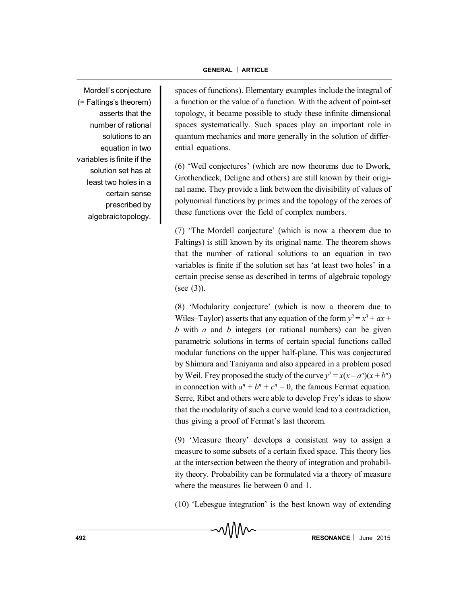Mordell's conjecture (= Faltings's theorem) asserts that the number of rational solutions to an equation in two variables is finite if the solution set has at least two holes in a certain sense prescribed by algebraictopology.

spaces of functions). Elementary examples include the integral of a function or the value of a function. With the advent of point-set topology, it became possible to study these infinite dimensional spaces systematically. Such spaces play an important role in quantum mechanics and more generally in the solution of differential equations.

(6) 'Weil conjectures' (which are now theorems due to Dwork, Grothendieck, Deligne and others) are still known by their original name. They provide a link between the divisibility of values of polynomial functions by primes and the topology of the zeroes of these functions over the field of complex numbers.

(7) 'The Mordell conjecture' (which is now a theorem due to Faltings) is still known by its original name. The theorem shows that the number of rational solutions to an equation in two variables is finite if the solution set has 'at least two holes' in a certain precise sense as described in terms of algebraic topology (see (3)).

(8) 'Modularity conjecture' (which is now a theorem due to Wiles–Taylor) asserts that any equation of the form  $y^2 = x^3 + ax +$ *b* with *a* and *b* integers (or rational numbers) can be given parametric solutions in terms of certain special functions called modular functions on the upper half-plane. This was conjectured by Shimura and Taniyama and also appeared in a problem posed by Weil. Frey proposed the study of the curve  $y^2 = x(x - a^n)(x + b^n)$ in connection with  $a^n + b^n + c^n = 0$ , the famous Fermat equation. Serre, Ribet and others were able to develop Frey's ideas to show that the modularity of such a curve would lead to a contradiction, thus giving a proof of Fermat's last theorem.

(9) 'Measure theory' develops a consistent way to assign a measure to some subsets of a certain fixed space. This theory lies at the intersection between the theory of integration and probability theory. Probability can be formulated via a theory of measure where the measures lie between 0 and 1.

(10) 'Lebesgue integration' is the best known way of extending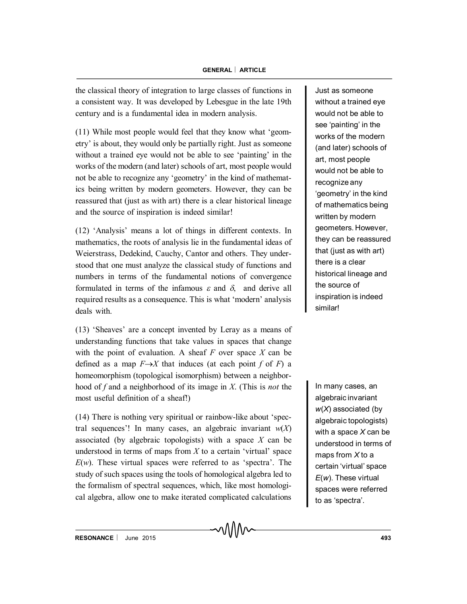the classical theory of integration to large classes of functions in a consistent way. It was developed by Lebesgue in the late 19th century and is a fundamental idea in modern analysis.

(11) While most people would feel that they know what 'geometry' is about, they would only be partially right. Just as someone without a trained eye would not be able to see 'painting' in the works of the modern (and later) schools of art, most people would not be able to recognize any 'geometry' in the kind of mathematics being written by modern geometers. However, they can be reassured that (just as with art) there is a clear historical lineage and the source of inspiration is indeed similar!

(12) 'Analysis' means a lot of things in different contexts. In mathematics, the roots of analysis lie in the fundamental ideas of Weierstrass, Dedekind, Cauchy, Cantor and others. They understood that one must analyze the classical study of functions and numbers in terms of the fundamental notions of convergence formulated in terms of the infamous  $\varepsilon$  and  $\delta$ , and derive all required results as a consequence. This is what 'modern' analysis deals with.

(13) 'Sheaves' are a concept invented by Leray as a means of understanding functions that take values in spaces that change with the point of evaluation. A sheaf *F* over space *X* can be defined as a map  $F \rightarrow X$  that induces (at each point *f* of *F*) a homeomorphism (topological isomorphism) between a neighborhood of *f* and a neighborhood of its image in *X*. (This is *not* the most useful definition of a sheaf!)

(14) There is nothing very spiritual or rainbow-like about 'spectral sequences'! In many cases, an algebraic invariant  $w(X)$ associated (by algebraic topologists) with a space *X* can be understood in terms of maps from *X* to a certain 'virtual' space *E*(*w*). These virtual spaces were referred to as 'spectra'. The study of such spaces using the tools of homological algebra led to the formalism of spectral sequences, which, like most homological algebra, allow one to make iterated complicated calculations

Just as someone without a trained eye would not be able to see 'painting' in the works of the modern (and later) schools of art, most people would not be able to recognize any 'geometry' in the kind of mathematics being written by modern geometers. However, they can be reassured that (just as with art) there is a clear historical lineage and the source of inspiration is indeed similar!

In many cases, an algebraic invariant *w*(*X*) associated (by algebraic topologists) with a space *X* can be understood in terms of maps from *X* to a certain 'virtual' space *E*(*w*). These virtual spaces were referred to as 'spectra'.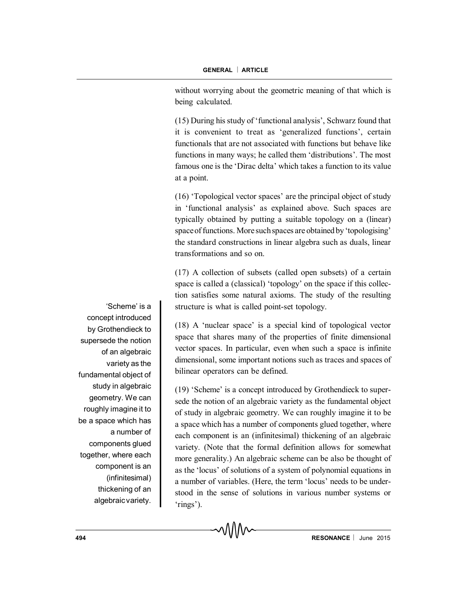without worrying about the geometric meaning of that which is being calculated.

(15) During his study of 'functional analysis', Schwarz found that it is convenient to treat as 'generalized functions', certain functionals that are not associated with functions but behave like functions in many ways; he called them 'distributions'. The most famous one is the 'Dirac delta' which takes a function to its value at a point.

(16) 'Topological vector spaces' are the principal object of study in 'functional analysis' as explained above. Such spaces are typically obtained by putting a suitable topology on a (linear) spaceof functions. More such spaces are obtained by 'topologising' the standard constructions in linear algebra such as duals, linear transformations and so on.

(17) A collection of subsets (called open subsets) of a certain space is called a (classical) 'topology' on the space if this collection satisfies some natural axioms. The study of the resulting structure is what is called point-set topology.

(18) A 'nuclear space' is a special kind of topological vector space that shares many of the properties of finite dimensional vector spaces. In particular, even when such a space is infinite dimensional, some important notions such as traces and spaces of bilinear operators can be defined.

(19) 'Scheme' is a concept introduced by Grothendieck to supersede the notion of an algebraic variety as the fundamental object of study in algebraic geometry. We can roughly imagine it to be a space which has a number of components glued together, where each component is an (infinitesimal) thickening of an algebraic variety. (Note that the formal definition allows for somewhat more generality.) An algebraic scheme can be also be thought of as the 'locus' of solutions of a system of polynomial equations in a number of variables. (Here, the term 'locus' needs to be understood in the sense of solutions in various number systems or 'rings').

'Scheme' is a concept introduced by Grothendieck to supersede the notion of an algebraic variety as the fundamental object of study in algebraic geometry. We can roughly imagine it to be a space which has a number of components glued together, where each component is an (infinitesimal) thickening of an algebraic variety.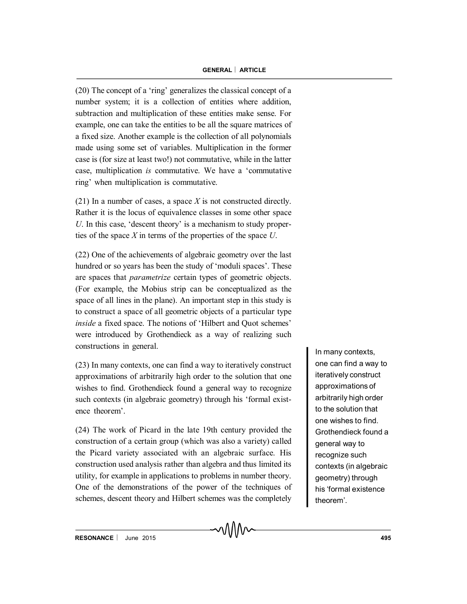(20) The concept of a 'ring' generalizes the classical concept of a number system; it is a collection of entities where addition, subtraction and multiplication of these entities make sense. For example, one can take the entities to be all the square matrices of a fixed size. Another example is the collection of all polynomials made using some set of variables. Multiplication in the former case is (for size at least two!) not commutative, while in the latter case, multiplication *is* commutative. We have a 'commutative ring' when multiplication is commutative.

(21) In a number of cases, a space *X* is not constructed directly. Rather it is the locus of equivalence classes in some other space *U*. In this case, 'descent theory' is a mechanism to study properties of the space *X* in terms of the properties of the space *U*.

(22) One of the achievements of algebraic geometry over the last hundred or so years has been the study of 'moduli spaces'. These are spaces that *parametrize* certain types of geometric objects. (For example, the Mobius strip can be conceptualized as the space of all lines in the plane). An important step in this study is to construct a space of all geometric objects of a particular type *inside* a fixed space. The notions of 'Hilbert and Quot schemes' were introduced by Grothendieck as a way of realizing such constructions in general.

(23) In many contexts, one can find a way to iteratively construct approximations of arbitrarily high order to the solution that one wishes to find. Grothendieck found a general way to recognize such contexts (in algebraic geometry) through his 'formal existence theorem'.

(24) The work of Picard in the late 19th century provided the construction of a certain group (which was also a variety) called the Picard variety associated with an algebraic surface. His construction used analysis rather than algebra and thus limited its utility, for example in applications to problems in number theory. One of the demonstrations of the power of the techniques of schemes, descent theory and Hilbert schemes was the completely

In many contexts, one can find a way to iteratively construct approximations of arbitrarily high order to the solution that one wishes to find. Grothendieck found a general way to recognize such contexts (in algebraic geometry) through his 'formal existence theorem'.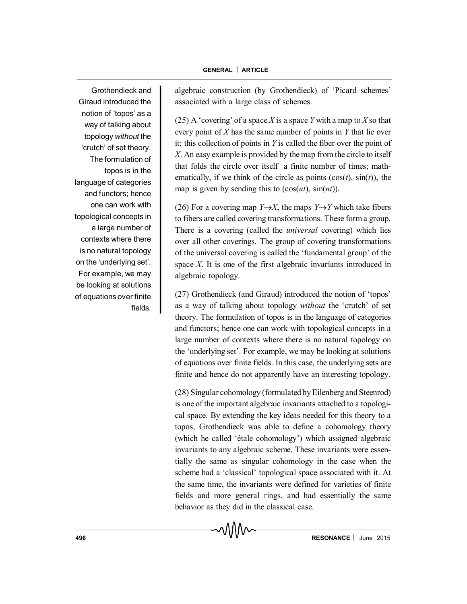Grothendieck and Giraud introduced the notion of 'topos' as a way of talking about topology *without* the 'crutch' of set theory. The formulation of topos is in the language of categories and functors; hence one can work with topological concepts in a large number of contexts where there is no natural topology on the 'underlying set'. For example, we may be looking at solutions of equations over finite fields.

algebraic construction (by Grothendieck) of 'Picard schemes' associated with a large class of schemes.

(25) A 'covering' of a space *X* is a space *Y* with a map to *X* so that every point of *X* has the same number of points in *Y* that lie over it; this collection of points in *Y* is called the fiber over the point of *X*. An easy example is provided by the map from the circle to itself that folds the circle over itself a finite number of times; mathematically, if we think of the circle as points  $(cos(t), sin(t))$ , the map is given by sending this to (cos(*nt*), sin(*nt*)).

(26) For a covering map *Y* $\rightarrow$ *X*, the maps *Y* $\rightarrow$ *Y* which take fibers to fibers are called covering transformations. These form a group. There is a covering (called the *universal* covering) which lies over all other coverings. The group of covering transformations of the universal covering is called the 'fundamental group' of the space *X*. It is one of the first algebraic invariants introduced in algebraic topology.

(27) Grothendieck (and Giraud) introduced the notion of 'topos' as a way of talking about topology *without* the 'crutch' of set theory. The formulation of topos is in the language of categories and functors; hence one can work with topological concepts in a large number of contexts where there is no natural topology on the 'underlying set'. For example, we may be looking at solutions of equations over finite fields. In this case, the underlying sets are finite and hence do not apparently have an interesting topology.

(28) Singular cohomology (formulated by Eilenberg and Steenrod) is one of the important algebraic invariants attached to a topological space. By extending the key ideas needed for this theory to a topos, Grothendieck was able to define a cohomology theory (which he called 'étale cohomology') which assigned algebraic invariants to any algebraic scheme. These invariants were essentially the same as singular cohomology in the case when the scheme had a 'classical' topological space associated with it. At the same time, the invariants were defined for varieties of finite fields and more general rings, and had essentially the same behavior as they did in the classical case.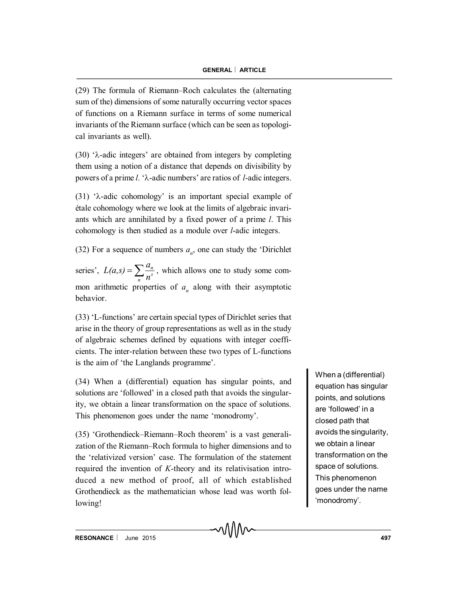(29) The formula of Riemann–Roch calculates the (alternating sum of the) dimensions of some naturally occurring vector spaces of functions on a Riemann surface in terms of some numerical invariants of the Riemann surface (which can be seen as topological invariants as well).

(30)  $\lambda$ -adic integers' are obtained from integers by completing them using a notion of a distance that depends on divisibility by powers of a prime *l*. 'λ-adic numbers' are ratios of *l*-adic integers.

(31) ' $\lambda$ -adic cohomology' is an important special example of étale cohomology where we look at the limits of algebraic invariants which are annihilated by a fixed power of a prime *l*. This cohomology is then studied as a module over *l*-adic integers.

(32) For a sequence of numbers  $a_n$ , one can study the 'Dirichlet

series',  $L(a,s) = \sum_{n=1}^{\infty} \frac{a_n}{n^s}$ mon arithmetic properties of  $a_n$  along with their asymptotic *n n*  $L(a,s) = \sum_{n=1}^{\infty} \frac{a_n}{s}$ , which allows one to study some combehavior.

(33) 'L-functions' are certain special types of Dirichlet series that arise in the theory of group representations as well as in the study of algebraic schemes defined by equations with integer coefficients. The inter-relation between these two types of L-functions is the aim of 'the Langlands programme'.

(34) When a (differential) equation has singular points, and solutions are 'followed' in a closed path that avoids the singularity, we obtain a linear transformation on the space of solutions. This phenomenon goes under the name 'monodromy'.

(35) 'Grothendieck–Riemann–Roch theorem' is a vast generalization of the Riemann–Roch formula to higher dimensions and to the 'relativized version' case. The formulation of the statement required the invention of *K*-theory and its relativisation introduced a new method of proof, all of which established Grothendieck as the mathematician whose lead was worth following!

When a (differential) equation has singular points, and solutions are 'followed' in a closed path that avoids the singularity, we obtain a linear transformation on the space of solutions. This phenomenon goes under the name 'monodromy'.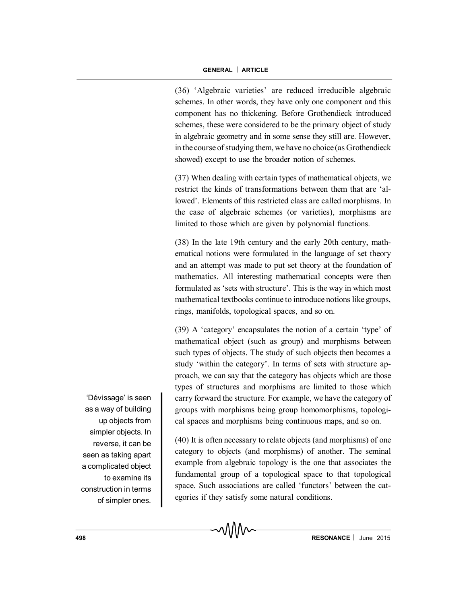(36) 'Algebraic varieties' are reduced irreducible algebraic schemes. In other words, they have only one component and this component has no thickening. Before Grothendieck introduced schemes, these were considered to be the primary object of study in algebraic geometry and in some sense they still are. However, in the course of studying them, we have no choice (as Grothendieck showed) except to use the broader notion of schemes.

(37) When dealing with certain types of mathematical objects, we restrict the kinds of transformations between them that are 'allowed'. Elements of this restricted class are called morphisms. In the case of algebraic schemes (or varieties), morphisms are limited to those which are given by polynomial functions.

(38) In the late 19th century and the early 20th century, mathematical notions were formulated in the language of set theory and an attempt was made to put set theory at the foundation of mathematics. All interesting mathematical concepts were then formulated as 'sets with structure'. This is the way in which most mathematical textbooks continue to introduce notions like groups, rings, manifolds, topological spaces, and so on.

(39) A 'category' encapsulates the notion of a certain 'type' of mathematical object (such as group) and morphisms between such types of objects. The study of such objects then becomes a study 'within the category'. In terms of sets with structure approach, we can say that the category has objects which are those types of structures and morphisms are limited to those which carry forward the structure. For example, we have the category of groups with morphisms being group homomorphisms, topological spaces and morphisms being continuous maps, and so on.

(40) It is often necessary to relate objects (and morphisms) of one category to objects (and morphisms) of another. The seminal example from algebraic topology is the one that associates the fundamental group of a topological space to that topological space. Such associations are called 'functors' between the categories if they satisfy some natural conditions.

'Dévissage' is seen as a way of building up objects from simpler objects. In reverse, it can be seen as taking apart a complicated object to examine its construction in terms of simpler ones.